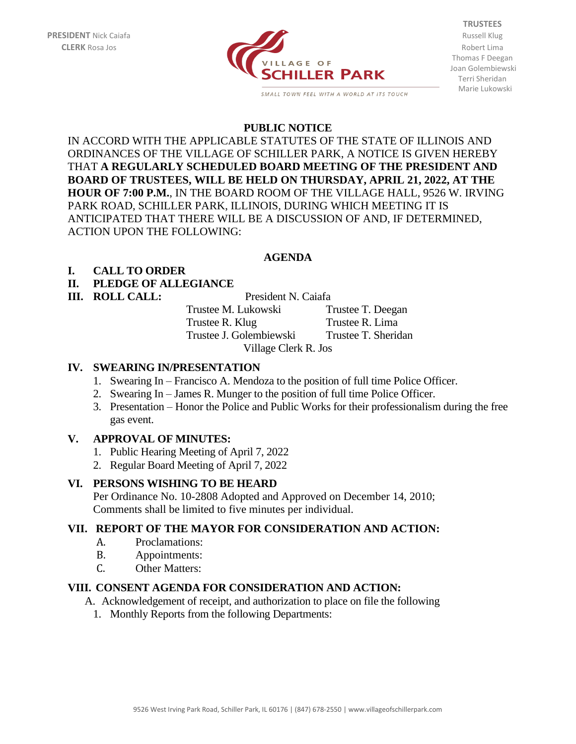

SMALL TOWN FEEL WITH A WORLD AT ITS TOUCH

**TRUSTEES** Thomas F Deegan Joan Golembiewski Terri Sheridan Marie Lukowski

#### **PUBLIC NOTICE**

IN ACCORD WITH THE APPLICABLE STATUTES OF THE STATE OF ILLINOIS AND ORDINANCES OF THE VILLAGE OF SCHILLER PARK, A NOTICE IS GIVEN HEREBY THAT **A REGULARLY SCHEDULED BOARD MEETING OF THE PRESIDENT AND BOARD OF TRUSTEES, WILL BE HELD ON THURSDAY, APRIL 21, 2022, AT THE HOUR OF 7:00 P.M.**, IN THE BOARD ROOM OF THE VILLAGE HALL, 9526 W. IRVING PARK ROAD, SCHILLER PARK, ILLINOIS, DURING WHICH MEETING IT IS ANTICIPATED THAT THERE WILL BE A DISCUSSION OF AND, IF DETERMINED, ACTION UPON THE FOLLOWING:

#### **AGENDA**

## **I. CALL TO ORDER**

## **II. PLEDGE OF ALLEGIANCE**

**III. ROLL CALL:** President N. Caiafa

Trustee M. Lukowski Trustee T. Deegan Trustee R. Klug Trustee R. Lima Trustee J. Golembiewski Trustee T. Sheridan Village Clerk R. Jos

## **IV. SWEARING IN/PRESENTATION**

- 1. Swearing In Francisco A. Mendoza to the position of full time Police Officer.
- 2. Swearing In James R. Munger to the position of full time Police Officer.
- 3. Presentation Honor the Police and Public Works for their professionalism during the free gas event.

## **V. APPROVAL OF MINUTES:**

- 1. Public Hearing Meeting of April 7, 2022
- 2. Regular Board Meeting of April 7, 2022

## **VI. PERSONS WISHING TO BE HEARD**

Per Ordinance No. 10-2808 Adopted and Approved on December 14, 2010; Comments shall be limited to five minutes per individual.

#### **VII. REPORT OF THE MAYOR FOR CONSIDERATION AND ACTION:**

- A. Proclamations:
- B. Appointments:
- C. Other Matters:

## **VIII. CONSENT AGENDA FOR CONSIDERATION AND ACTION:**

A. Acknowledgement of receipt, and authorization to place on file the following

1. Monthly Reports from the following Departments: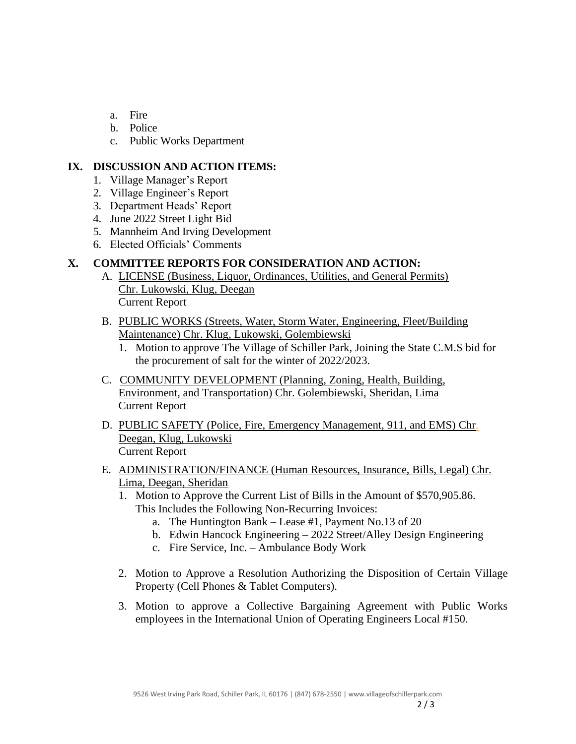- a. Fire
- b. Police
- c. Public Works Department

## **IX. DISCUSSION AND ACTION ITEMS:**

- 1. Village Manager's Report
- 2. Village Engineer's Report
- 3. Department Heads' Report
- 4. June 2022 Street Light Bid
- 5. Mannheim And Irving Development
- 6. Elected Officials' Comments

# **X. COMMITTEE REPORTS FOR CONSIDERATION AND ACTION:**

- A. LICENSE (Business, Liquor, Ordinances, Utilities, and General Permits) Chr. Lukowski, Klug, Deegan Current Report
- B. PUBLIC WORKS (Streets, Water, Storm Water, Engineering, Fleet/Building Maintenance) Chr. Klug, Lukowski, Golembiewski
	- 1. Motion to approve The Village of Schiller Park, Joining the State C.M.S bid for the procurement of salt for the winter of 2022/2023.
- C. COMMUNITY DEVELOPMENT (Planning, Zoning, Health, Building, Environment, and Transportation) Chr. Golembiewski, Sheridan, Lima Current Report
- D. PUBLIC SAFETY (Police, Fire, Emergency Management, 911, and EMS) Chr. Deegan, Klug, Lukowski Current Report
- E. ADMINISTRATION/FINANCE (Human Resources, Insurance, Bills, Legal) Chr. Lima, Deegan, Sheridan
	- 1. Motion to Approve the Current List of Bills in the Amount of \$570,905.86. This Includes the Following Non-Recurring Invoices:
		- a. The Huntington Bank Lease #1, Payment No.13 of 20
		- b. Edwin Hancock Engineering 2022 Street/Alley Design Engineering
		- c. Fire Service, Inc. Ambulance Body Work
	- 2. Motion to Approve a Resolution Authorizing the Disposition of Certain Village Property (Cell Phones & Tablet Computers).
	- 3. Motion to approve a Collective Bargaining Agreement with Public Works employees in the International Union of Operating Engineers Local #150.